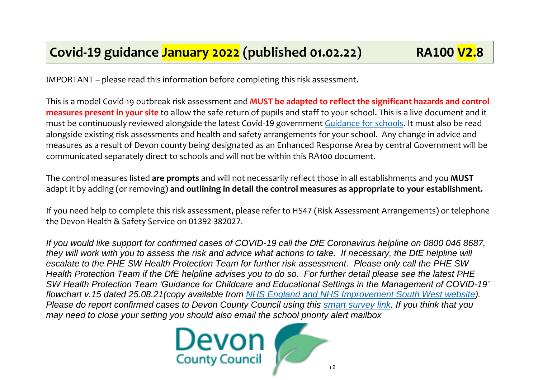## **Covid-19 guidance January 2022 (published 01.02.22) RA100 V2.8**

IMPORTANT – please read this information before completing this risk assessment.

This is a model Covid-19 outbreak risk assessment and **MUST be adapted to reflect the significant hazards and control measures present in your site** to allow the safe return of pupils and staff to your school. This is a live document and it must be continuously reviewed alongside the latest Covid-19 government [Guidance for schools.](https://eur02.safelinks.protection.outlook.com/?url=https%3A%2F%2Fwww.gov.uk%2Fgovernment%2Fcollections%2Fguidance-for-schools-coronavirus-covid-19%3Futm_source%3D09%2520July%25202021%2520C19%26utm_medium%3DDaily%2520Email%2520C19%26utm_campaign%3DDfE%2520C19&data=04%7C01%7Cmartin.bevan%40devon.gov.uk%7C80359a25dfd64640efcd08d945376a2d%7C8da13783cb68443fbb4b997f77fd5bfb%7C0%7C0%7C637616926572103918%7CUnknown%7CTWFpbGZsb3d8eyJWIjoiMC4wLjAwMDAiLCJQIjoiV2luMzIiLCJBTiI6Ik1haWwiLCJXVCI6Mn0%3D%7C3000&sdata=CFWaT9A5w6TYm2xxUi4fdUP%2BB7AYZHg3nkPHrECEzzI%3D&reserved=0) It must also be read alongside existing risk assessments and health and safety arrangements for your school. Any change in advice and measures as a result of Devon county being designated as an Enhanced Response Area by central Government will be communicated separately direct to schools and will not be within this RA100 document.

The control measures listed **are prompts** and will not necessarily reflect those in all establishments and you **MUST** adapt it by adding (or removing) **and outlining in detail the control measures as appropriate to your establishment.**

If you need help to complete this risk assessment, please refer to HS47 (Risk Assessment Arrangements) or telephone the Devon Health & Safety Service on 01392 382027.

*If you would like support for confirmed cases of COVID-19 call the DfE Coronavirus helpline on 0800 046 8687, they will work with you to assess the risk and advice what actions to take. If necessary, the DfE helpline will escalate to the PHE SW Health Protection Team for further risk assessment. Please only call the PHE SW Health Protection Team if the DfE helpline advises you to do so. For further detail please see the latest PHE SW Health Protection Team 'Guidance for Childcare and Educational Settings in the Management of COVID-19' flowchart v.15 dated 25.08.21(copy available from NHS England and NHS [Improvement South West website\)](https://www.england.nhs.uk/south/info-professional/public-health/infection-winter/schools-and-nurseries-guidance/). Please do report confirmed cases to Devon County Council using this [smart survey link.](https://www.smartsurvey.co.uk/s/Covid19NotificationTestResults/) If you think that you may need to close your setting you should also email the school priority alert mailbox* 

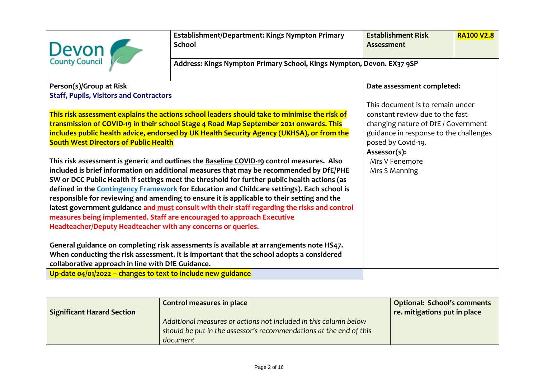| Devon<br>County Council                                                                                                                                                                                                                                                                                                                                                                                                                                                                                                                                                                                                                                                                                                                                                           | Establishment/Department: Kings Nympton Primary<br><b>School</b>      | <b>Establishment Risk</b><br><b>Assessment</b>                                                                                          | <b>RA100 V2.8</b> |  |
|-----------------------------------------------------------------------------------------------------------------------------------------------------------------------------------------------------------------------------------------------------------------------------------------------------------------------------------------------------------------------------------------------------------------------------------------------------------------------------------------------------------------------------------------------------------------------------------------------------------------------------------------------------------------------------------------------------------------------------------------------------------------------------------|-----------------------------------------------------------------------|-----------------------------------------------------------------------------------------------------------------------------------------|-------------------|--|
|                                                                                                                                                                                                                                                                                                                                                                                                                                                                                                                                                                                                                                                                                                                                                                                   | Address: Kings Nympton Primary School, Kings Nympton, Devon. EX37 9SP |                                                                                                                                         |                   |  |
| Person(s)/Group at Risk<br><b>Staff, Pupils, Visitors and Contractors</b>                                                                                                                                                                                                                                                                                                                                                                                                                                                                                                                                                                                                                                                                                                         |                                                                       | Date assessment completed:<br>This document is to remain under                                                                          |                   |  |
| This risk assessment explains the actions school leaders should take to minimise the risk of<br>transmission of COVID-19 in their school Stage 4 Road Map September 2021 onwards. This<br>includes public health advice, endorsed by UK Health Security Agency (UKHSA), or from the                                                                                                                                                                                                                                                                                                                                                                                                                                                                                               |                                                                       | constant review due to the fast-<br>changing nature of DfE / Government<br>guidance in response to the challenges<br>posed by Covid-19. |                   |  |
| <b>South West Directors of Public Health</b><br>This risk assessment is generic and outlines the Baseline COVID-19 control measures. Also<br>included is brief information on additional measures that may be recommended by DfE/PHE<br>SW or DCC Public Health if settings meet the threshold for further public health actions (as<br>defined in the <b>Contingency Framework</b> for Education and Childcare settings). Each school is<br>responsible for reviewing and amending to ensure it is applicable to their setting and the<br>latest government guidance and must consult with their staff regarding the risks and control<br>measures being implemented. Staff are encouraged to approach Executive<br>Headteacher/Deputy Headteacher with any concerns or queries. |                                                                       | Assessor(s):<br>Mrs V Fenemore<br>Mrs S Manning                                                                                         |                   |  |
| General guidance on completing risk assessments is available at arrangements note HS47.<br>When conducting the risk assessment. it is important that the school adopts a considered<br>collaborative approach in line with DfE Guidance.<br>Up-date 04/01/2022 - changes to text to include new guidance                                                                                                                                                                                                                                                                                                                                                                                                                                                                          |                                                                       |                                                                                                                                         |                   |  |

| <b>Significant Hazard Section</b> | Control measures in place                                                                                                                          | <b>Optional: School's comments</b><br>re. mitigations put in place |
|-----------------------------------|----------------------------------------------------------------------------------------------------------------------------------------------------|--------------------------------------------------------------------|
|                                   | Additional measures or actions not included in this column below<br>should be put in the assessor's recommendations at the end of this<br>document |                                                                    |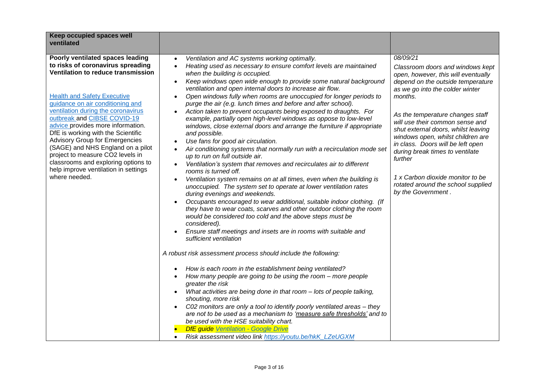| Keep occupied spaces well<br>ventilated                                                                                                                                                                                                                                                                                                                                                                                                                                                                                                                 |                                                                                                                                                                                                                                                                                                                                                                                                                                                                                                                                                                                                                                                                                                                                                                                                                                                                                                                                                                                                                                                                                                                                                                                                                                                                                                                                                                                                                                                                                               |                                                                                                                                                                                                                                                                                                                                                                                                                                                                                                              |
|---------------------------------------------------------------------------------------------------------------------------------------------------------------------------------------------------------------------------------------------------------------------------------------------------------------------------------------------------------------------------------------------------------------------------------------------------------------------------------------------------------------------------------------------------------|-----------------------------------------------------------------------------------------------------------------------------------------------------------------------------------------------------------------------------------------------------------------------------------------------------------------------------------------------------------------------------------------------------------------------------------------------------------------------------------------------------------------------------------------------------------------------------------------------------------------------------------------------------------------------------------------------------------------------------------------------------------------------------------------------------------------------------------------------------------------------------------------------------------------------------------------------------------------------------------------------------------------------------------------------------------------------------------------------------------------------------------------------------------------------------------------------------------------------------------------------------------------------------------------------------------------------------------------------------------------------------------------------------------------------------------------------------------------------------------------------|--------------------------------------------------------------------------------------------------------------------------------------------------------------------------------------------------------------------------------------------------------------------------------------------------------------------------------------------------------------------------------------------------------------------------------------------------------------------------------------------------------------|
|                                                                                                                                                                                                                                                                                                                                                                                                                                                                                                                                                         |                                                                                                                                                                                                                                                                                                                                                                                                                                                                                                                                                                                                                                                                                                                                                                                                                                                                                                                                                                                                                                                                                                                                                                                                                                                                                                                                                                                                                                                                                               |                                                                                                                                                                                                                                                                                                                                                                                                                                                                                                              |
| Poorly ventilated spaces leading<br>to risks of coronavirus spreading<br>Ventilation to reduce transmission<br><b>Health and Safety Executive</b><br>guidance on air conditioning and<br>ventilation during the coronavirus<br>outbreak and CIBSE COVID-19<br>advice provides more information.<br>DfE is working with the Scientific<br><b>Advisory Group for Emergencies</b><br>(SAGE) and NHS England on a pilot<br>project to measure CO2 levels in<br>classrooms and exploring options to<br>help improve ventilation in settings<br>where needed. | Ventilation and AC systems working optimally.<br>$\bullet$<br>Heating used as necessary to ensure comfort levels are maintained<br>$\bullet$<br>when the building is occupied.<br>Keep windows open wide enough to provide some natural background<br>ventilation and open internal doors to increase air flow.<br>Open windows fully when rooms are unoccupied for longer periods to<br>$\bullet$<br>purge the air (e.g. lunch times and before and after school).<br>Action taken to prevent occupants being exposed to draughts. For<br>$\bullet$<br>example, partially open high-level windows as oppose to low-level<br>windows, close external doors and arrange the furniture if appropriate<br>and possible.<br>Use fans for good air circulation.<br>Air conditioning systems that normally run with a recirculation mode set<br>$\bullet$<br>up to run on full outside air.<br>Ventilation's system that removes and recirculates air to different<br>rooms is turned off.<br>Ventilation system remains on at all times, even when the building is<br>unoccupied. The system set to operate at lower ventilation rates<br>during evenings and weekends.<br>Occupants encouraged to wear additional, suitable indoor clothing. (If<br>they have to wear coats, scarves and other outdoor clothing the room<br>would be considered too cold and the above steps must be<br>considered).<br>Ensure staff meetings and insets are in rooms with suitable and<br>sufficient ventilation | 08/09/21<br>Classroom doors and windows kept<br>open, however, this will eventually<br>depend on the outside temperature<br>as we go into the colder winter<br>months.<br>As the temperature changes staff<br>will use their common sense and<br>shut external doors, whilst leaving<br>windows open, whilst children are<br>in class. Doors will be left open<br>during break times to ventilate<br>further<br>1 x Carbon dioxide monitor to be<br>rotated around the school supplied<br>by the Government. |
|                                                                                                                                                                                                                                                                                                                                                                                                                                                                                                                                                         | A robust risk assessment process should include the following:<br>How is each room in the establishment being ventilated?<br>How many people are going to be using the room - more people<br>$\bullet$<br>greater the risk<br>What activities are being done in that room - lots of people talking,<br>shouting, more risk<br>C02 monitors are only a tool to identify poorly ventilated areas - they<br>$\bullet$<br>are not to be used as a mechanism to 'measure safe thresholds' and to<br>be used with the HSE suitability chart.<br>DfE guide Ventilation - Google Drive<br>Risk assessment video link https://youtu.be/hkK_LZeUGXM                                                                                                                                                                                                                                                                                                                                                                                                                                                                                                                                                                                                                                                                                                                                                                                                                                                     |                                                                                                                                                                                                                                                                                                                                                                                                                                                                                                              |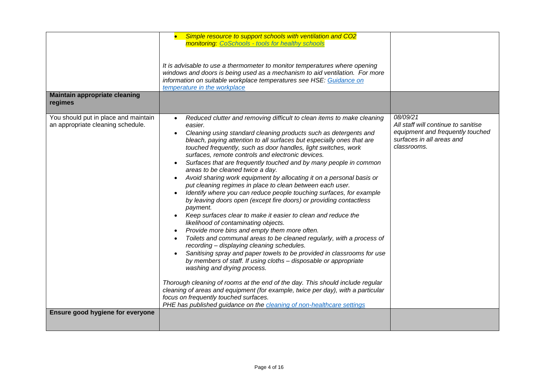| <b>Maintain appropriate cleaning</b><br>regimes                                                               | Simple resource to support schools with ventilation and CO2<br>$\bullet$<br>monitoring: CoSchools - tools for healthy schools<br>It is advisable to use a thermometer to monitor temperatures where opening<br>windows and doors is being used as a mechanism to aid ventilation. For more<br>information on suitable workplace temperatures see HSE: Guidance on<br>temperature in the workplace                                                                                                                                                                                                                                                                                                                                                                                                                                                                                                                                                                                                                                                                                                                                                                                                                                                                                                                                                                                                                                                                                                                                                      |                                                                                                                                 |
|---------------------------------------------------------------------------------------------------------------|--------------------------------------------------------------------------------------------------------------------------------------------------------------------------------------------------------------------------------------------------------------------------------------------------------------------------------------------------------------------------------------------------------------------------------------------------------------------------------------------------------------------------------------------------------------------------------------------------------------------------------------------------------------------------------------------------------------------------------------------------------------------------------------------------------------------------------------------------------------------------------------------------------------------------------------------------------------------------------------------------------------------------------------------------------------------------------------------------------------------------------------------------------------------------------------------------------------------------------------------------------------------------------------------------------------------------------------------------------------------------------------------------------------------------------------------------------------------------------------------------------------------------------------------------------|---------------------------------------------------------------------------------------------------------------------------------|
| You should put in place and maintain<br>an appropriate cleaning schedule.<br>Ensure good hygiene for everyone | Reduced clutter and removing difficult to clean items to make cleaning<br>$\bullet$<br>easier.<br>Cleaning using standard cleaning products such as detergents and<br>$\bullet$<br>bleach, paying attention to all surfaces but especially ones that are<br>touched frequently, such as door handles, light switches, work<br>surfaces, remote controls and electronic devices.<br>Surfaces that are frequently touched and by many people in common<br>areas to be cleaned twice a day.<br>Avoid sharing work equipment by allocating it on a personal basis or<br>put cleaning regimes in place to clean between each user.<br>Identify where you can reduce people touching surfaces, for example<br>by leaving doors open (except fire doors) or providing contactless<br>payment.<br>Keep surfaces clear to make it easier to clean and reduce the<br>likelihood of contaminating objects.<br>Provide more bins and empty them more often.<br>Toilets and communal areas to be cleaned regularly, with a process of<br>$\bullet$<br>recording - displaying cleaning schedules.<br>Sanitising spray and paper towels to be provided in classrooms for use<br>by members of staff. If using cloths - disposable or appropriate<br>washing and drying process.<br>Thorough cleaning of rooms at the end of the day. This should include regular<br>cleaning of areas and equipment (for example, twice per day), with a particular<br>focus on frequently touched surfaces.<br>PHE has published guidance on the cleaning of non-healthcare settings | 08/09/21<br>All staff will continue to sanitise<br>equipment and frequently touched<br>surfaces in all areas and<br>classrooms. |
|                                                                                                               |                                                                                                                                                                                                                                                                                                                                                                                                                                                                                                                                                                                                                                                                                                                                                                                                                                                                                                                                                                                                                                                                                                                                                                                                                                                                                                                                                                                                                                                                                                                                                        |                                                                                                                                 |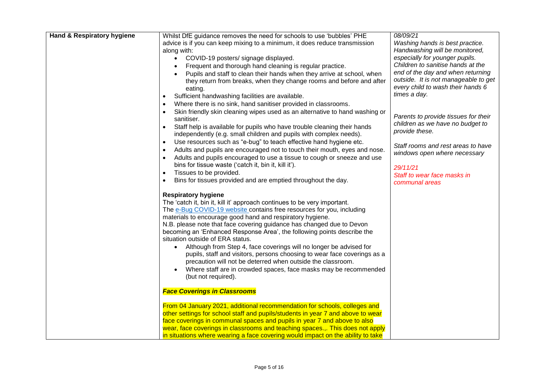| Hand & Respiratory hygiene | Whilst DfE guidance removes the need for schools to use 'bubbles' PHE                                                                                                                                                                                                                                                                                                                                                                                                                                                                                                                                                                                                                                                                            | 08/09/21                                                                                                                       |
|----------------------------|--------------------------------------------------------------------------------------------------------------------------------------------------------------------------------------------------------------------------------------------------------------------------------------------------------------------------------------------------------------------------------------------------------------------------------------------------------------------------------------------------------------------------------------------------------------------------------------------------------------------------------------------------------------------------------------------------------------------------------------------------|--------------------------------------------------------------------------------------------------------------------------------|
|                            | advice is if you can keep mixing to a minimum, it does reduce transmission                                                                                                                                                                                                                                                                                                                                                                                                                                                                                                                                                                                                                                                                       | Washing hands is best practice.                                                                                                |
|                            | along with:                                                                                                                                                                                                                                                                                                                                                                                                                                                                                                                                                                                                                                                                                                                                      | Handwashing will be monitored,                                                                                                 |
|                            | COVID-19 posters/ signage displayed.<br>$\bullet$                                                                                                                                                                                                                                                                                                                                                                                                                                                                                                                                                                                                                                                                                                | especially for younger pupils.                                                                                                 |
|                            | Frequent and thorough hand cleaning is regular practice.                                                                                                                                                                                                                                                                                                                                                                                                                                                                                                                                                                                                                                                                                         | Children to sanitise hands at the                                                                                              |
|                            | Pupils and staff to clean their hands when they arrive at school, when<br>they return from breaks, when they change rooms and before and after<br>eating.<br>Sufficient handwashing facilities are available.<br>Where there is no sink, hand sanitiser provided in classrooms.                                                                                                                                                                                                                                                                                                                                                                                                                                                                  | end of the day and when returning<br>outside. It is not manageable to get<br>every child to wash their hands 6<br>times a day. |
|                            | Skin friendly skin cleaning wipes used as an alternative to hand washing or<br>$\bullet$<br>sanitiser.<br>Staff help is available for pupils who have trouble cleaning their hands<br>$\bullet$                                                                                                                                                                                                                                                                                                                                                                                                                                                                                                                                                  | Parents to provide tissues for their<br>children as we have no budget to                                                       |
|                            | independently (e.g. small children and pupils with complex needs).                                                                                                                                                                                                                                                                                                                                                                                                                                                                                                                                                                                                                                                                               | provide these.                                                                                                                 |
|                            | Use resources such as "e-bug" to teach effective hand hygiene etc.<br>Adults and pupils are encouraged not to touch their mouth, eyes and nose.<br>Adults and pupils encouraged to use a tissue to cough or sneeze and use                                                                                                                                                                                                                                                                                                                                                                                                                                                                                                                       | Staff rooms and rest areas to have<br>windows open where necessary                                                             |
|                            | bins for tissue waste ('catch it, bin it, kill it').                                                                                                                                                                                                                                                                                                                                                                                                                                                                                                                                                                                                                                                                                             | 29/11/21                                                                                                                       |
|                            | Tissues to be provided.<br>$\bullet$                                                                                                                                                                                                                                                                                                                                                                                                                                                                                                                                                                                                                                                                                                             | Staff to wear face masks in                                                                                                    |
|                            | Bins for tissues provided and are emptied throughout the day.<br>$\bullet$                                                                                                                                                                                                                                                                                                                                                                                                                                                                                                                                                                                                                                                                       | communal areas                                                                                                                 |
|                            | <b>Respiratory hygiene</b><br>The 'catch it, bin it, kill it' approach continues to be very important.<br>The e-Bug COVID-19 website contains free resources for you, including<br>materials to encourage good hand and respiratory hygiene.<br>N.B. please note that face covering guidance has changed due to Devon<br>becoming an 'Enhanced Response Area', the following points describe the<br>situation outside of ERA status.<br>Although from Step 4, face coverings will no longer be advised for<br>pupils, staff and visitors, persons choosing to wear face coverings as a<br>precaution will not be deterred when outside the classroom.<br>Where staff are in crowded spaces, face masks may be recommended<br>(but not required). |                                                                                                                                |
|                            | <b>Face Coverings in Classrooms</b>                                                                                                                                                                                                                                                                                                                                                                                                                                                                                                                                                                                                                                                                                                              |                                                                                                                                |
|                            | From 04 January 2021, additional recommendation for schools, colleges and<br>other settings for school staff and pupils/students in year 7 and above to wear<br>face coverings in communal spaces and pupils in year 7 and above to also<br>wear, face coverings in classrooms and teaching spaces This does not apply<br>in situations where wearing a face covering would impact on the ability to take                                                                                                                                                                                                                                                                                                                                        |                                                                                                                                |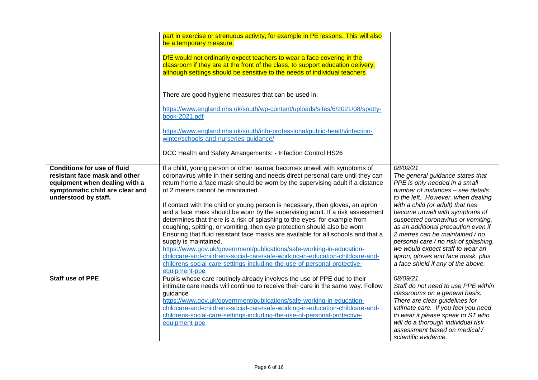|                                                                                                                                                                 | part in exercise or strenuous activity, for example in PE lessons. This will also<br>be a temporary measure.<br>DfE would not ordinarily expect teachers to wear a face covering in the<br>classroom if they are at the front of the class, to support education delivery,<br>although settings should be sensitive to the needs of individual teachers.<br>There are good hygiene measures that can be used in:<br>https://www.england.nhs.uk/south/wp-content/uploads/sites/6/2021/08/spotty-<br>book-2021.pdf                                                                                                                                                                                                                                                                                                                                                                                                                                                                    |                                                                                                                                                                                                                                                                                                                                                                                                                                                                                                        |
|-----------------------------------------------------------------------------------------------------------------------------------------------------------------|-------------------------------------------------------------------------------------------------------------------------------------------------------------------------------------------------------------------------------------------------------------------------------------------------------------------------------------------------------------------------------------------------------------------------------------------------------------------------------------------------------------------------------------------------------------------------------------------------------------------------------------------------------------------------------------------------------------------------------------------------------------------------------------------------------------------------------------------------------------------------------------------------------------------------------------------------------------------------------------|--------------------------------------------------------------------------------------------------------------------------------------------------------------------------------------------------------------------------------------------------------------------------------------------------------------------------------------------------------------------------------------------------------------------------------------------------------------------------------------------------------|
|                                                                                                                                                                 | https://www.england.nhs.uk/south/info-professional/public-health/infection-<br>winter/schools-and-nurseries-guidance/<br>DCC Health and Safety Arrangements: - Infection Control HS26                                                                                                                                                                                                                                                                                                                                                                                                                                                                                                                                                                                                                                                                                                                                                                                               |                                                                                                                                                                                                                                                                                                                                                                                                                                                                                                        |
| <b>Conditions for use of fluid</b><br>resistant face mask and other<br>equipment when dealing with a<br>symptomatic child are clear and<br>understood by staff. | If a child, young person or other learner becomes unwell with symptoms of<br>coronavirus while in their setting and needs direct personal care until they can<br>return home a face mask should be worn by the supervising adult if a distance<br>of 2 meters cannot be maintained.<br>If contact with the child or young person is necessary, then gloves, an apron<br>and a face mask should be worn by the supervising adult. If a risk assessment<br>determines that there is a risk of splashing to the eyes, for example from<br>coughing, spitting, or vomiting, then eye protection should also be worn<br>Ensuring that fluid resistant face masks are available for all schools and that a<br>supply is maintained.<br>https://www.gov.uk/government/publications/safe-working-in-education-<br>childcare-and-childrens-social-care/safe-working-in-education-childcare-and-<br>childrens-social-care-settings-including-the-use-of-personal-protective-<br>equipment-ppe | 08/09/21<br>The general guidance states that<br>PPE is only needed in a small<br>number of instances - see details<br>to the left. However, when dealing<br>with a child (or adult) that has<br>become unwell with symptoms of<br>suspected coronavirus or vomiting,<br>as an additional precaution even if<br>2 metres can be maintained / no<br>personal care / no risk of splashing,<br>we would expect staff to wear an<br>apron, gloves and face mask, plus<br>a face shield if any of the above. |
| <b>Staff use of PPE</b>                                                                                                                                         | Pupils whose care routinely already involves the use of PPE due to their<br>intimate care needs will continue to receive their care in the same way. Follow<br>guidance<br>https://www.gov.uk/government/publications/safe-working-in-education-<br>childcare-and-childrens-social-care/safe-working-in-education-childcare-and-<br>childrens-social-care-settings-including-the-use-of-personal-protective-<br>equipment-ppe                                                                                                                                                                                                                                                                                                                                                                                                                                                                                                                                                       | 08/09/21<br>Staff do not need to use PPE within<br>classrooms on a general basis.<br>There are clear guidelines for<br>intimate care. If you feel you need<br>to wear it please speak to ST who<br>will do a thorough individual risk<br>assessment based on medical /<br>scientific evidence.                                                                                                                                                                                                         |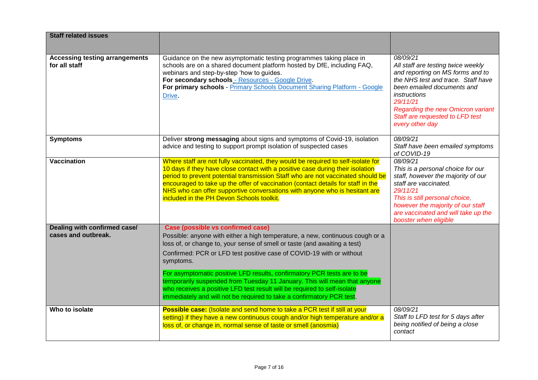| <b>Staff related issues</b>                            |                                                                                                                                                                                                                                                                                                                                                                                                                                                                                                                                                                                                          |                                                                                                                                                                                                                                                                                      |
|--------------------------------------------------------|----------------------------------------------------------------------------------------------------------------------------------------------------------------------------------------------------------------------------------------------------------------------------------------------------------------------------------------------------------------------------------------------------------------------------------------------------------------------------------------------------------------------------------------------------------------------------------------------------------|--------------------------------------------------------------------------------------------------------------------------------------------------------------------------------------------------------------------------------------------------------------------------------------|
| <b>Accessing testing arrangements</b><br>for all staff | Guidance on the new asymptomatic testing programmes taking place in<br>schools are on a shared document platform hosted by DfE, including FAQ,<br>webinars and step-by-step 'how to guides.<br>For secondary schools - Resources - Google Drive.<br>For primary schools - Primary Schools Document Sharing Platform - Google<br>Drive.                                                                                                                                                                                                                                                                   | 08/09/21<br>All staff are testing twice weekly<br>and reporting on MS forms and to<br>the NHS test and trace. Staff have<br>been emailed documents and<br><i>instructions</i><br>29/11/21<br>Regarding the new Omicron variant<br>Staff are requested to LFD test<br>every other day |
| <b>Symptoms</b>                                        | Deliver strong messaging about signs and symptoms of Covid-19, isolation<br>advice and testing to support prompt isolation of suspected cases                                                                                                                                                                                                                                                                                                                                                                                                                                                            | 08/09/21<br>Staff have been emailed symptoms<br>of COVID-19                                                                                                                                                                                                                          |
| <b>Vaccination</b>                                     | Where staff are not fully vaccinated, they would be required to self-isolate for<br>10 days if they have close contact with a positive case during their isolation<br>period to prevent potential transmission Staff who are not vaccinated should be<br>encouraged to take up the offer of vaccination (contact details for staff in the<br>NHS who can offer supportive conversations with anyone who is hesitant are<br>included in the PH Devon Schools toolkit.                                                                                                                                     | 08/09/21<br>This is a personal choice for our<br>staff, however the majority of our<br>staff are vaccinated.<br>29/11/21<br>This is still personal choice,<br>however the majority of our staff<br>are vaccinated and will take up the<br>booster when eligible                      |
| Dealing with confirmed case/<br>cases and outbreak.    | <b>Case (possible vs confirmed case)</b><br>Possible: anyone with either a high temperature, a new, continuous cough or a<br>loss of, or change to, your sense of smell or taste (and awaiting a test)<br>Confirmed: PCR or LFD test positive case of COVID-19 with or without<br>symptoms.<br>For asymptomatic positive LFD results, confirmatory PCR tests are to be<br>temporarily suspended from Tuesday 11 January. This will mean that anyone<br>who receives a positive LFD test result will be required to self-isolate<br>immediately and will not be required to take a confirmatory PCR test. |                                                                                                                                                                                                                                                                                      |
| Who to isolate                                         | Possible case: (Isolate and send home to take a PCR test if still at your<br>setting) if they have a new continuous cough and/or high temperature and/or a<br>loss of, or change in, normal sense of taste or smell (anosmia)                                                                                                                                                                                                                                                                                                                                                                            | 08/09/21<br>Staff to LFD test for 5 days after<br>being notified of being a close<br>contact                                                                                                                                                                                         |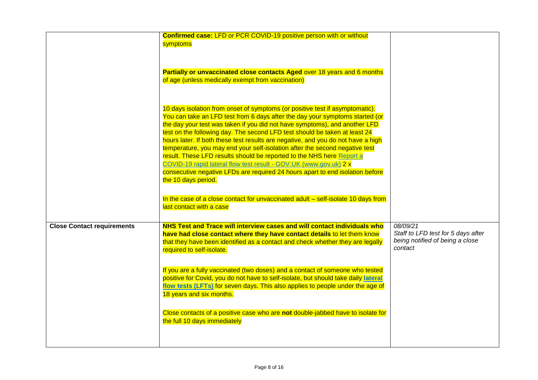|                                   | <b>Confirmed case: LFD or PCR COVID-19 positive person with or without</b><br>symptoms                                                                                                                                                                                                                                                                                                                                                                                                                                                                                                                                                                                                                                                            |                                                                                              |
|-----------------------------------|---------------------------------------------------------------------------------------------------------------------------------------------------------------------------------------------------------------------------------------------------------------------------------------------------------------------------------------------------------------------------------------------------------------------------------------------------------------------------------------------------------------------------------------------------------------------------------------------------------------------------------------------------------------------------------------------------------------------------------------------------|----------------------------------------------------------------------------------------------|
|                                   | Partially or unvaccinated close contacts Aged over 18 years and 6 months<br>of age (unless medically exempt from vaccination)                                                                                                                                                                                                                                                                                                                                                                                                                                                                                                                                                                                                                     |                                                                                              |
|                                   | 10 days isolation from onset of symptoms (or positive test if asymptomatic).<br>You can take an LFD test from 6 days after the day your symptoms started (or<br>the day your test was taken if you did not have symptoms), and another LFD<br>test on the following day. The second LFD test should be taken at least 24<br>hours later. If both these test results are negative, and you do not have a high<br>temperature, you may end your self-isolation after the second negative test<br>result. These LFD results should be reported to the NHS here Report a<br>COVID-19 rapid lateral flow test result - GOV.UK (www.gov.uk) 2 x<br>consecutive negative LFDs are required 24 hours apart to end isolation before<br>the 10 days period. |                                                                                              |
|                                   | In the case of a close contact for unvaccinated adult $-$ self-isolate 10 days from<br>last contact with a case                                                                                                                                                                                                                                                                                                                                                                                                                                                                                                                                                                                                                                   |                                                                                              |
| <b>Close Contact requirements</b> | NHS Test and Trace will interview cases and will contact individuals who<br>have had close contact where they have contact details to let them know<br>that they have been identified as a contact and check whether they are legally<br>required to self-isolate.                                                                                                                                                                                                                                                                                                                                                                                                                                                                                | 08/09/21<br>Staff to LFD test for 5 days after<br>being notified of being a close<br>contact |
|                                   | If you are a fully vaccinated (two doses) and a contact of someone who tested<br>positive for Covid, you do not have to self-isolate, but should take daily lateral<br>flow tests (LFTs) for seven days. This also applies to people under the age of<br>18 years and six months.                                                                                                                                                                                                                                                                                                                                                                                                                                                                 |                                                                                              |
|                                   | Close contacts of a positive case who are not double-jabbed have to isolate for<br>the full 10 days immediately                                                                                                                                                                                                                                                                                                                                                                                                                                                                                                                                                                                                                                   |                                                                                              |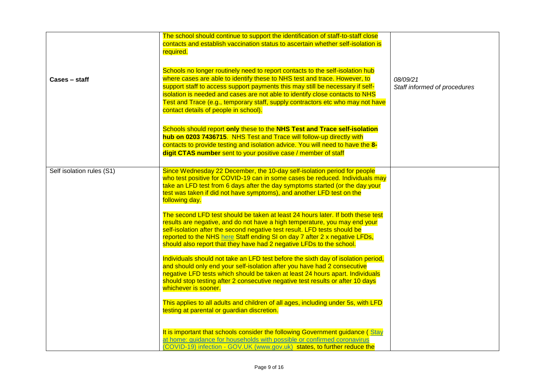|                           | The school should continue to support the identification of staff-to-staff close<br>contacts and establish vaccination status to ascertain whether self-isolation is                                                                                                                                                                                                                             |                              |
|---------------------------|--------------------------------------------------------------------------------------------------------------------------------------------------------------------------------------------------------------------------------------------------------------------------------------------------------------------------------------------------------------------------------------------------|------------------------------|
|                           | required.                                                                                                                                                                                                                                                                                                                                                                                        |                              |
| Cases – staff             | Schools no longer routinely need to report contacts to the self-isolation hub<br>where cases are able to identify these to NHS test and trace. However, to                                                                                                                                                                                                                                       | 08/09/21                     |
|                           | support staff to access support payments this may still be necessary if self-<br>isolation is needed and cases are not able to identify close contacts to NHS                                                                                                                                                                                                                                    | Staff informed of procedures |
|                           | Test and Trace (e.g., temporary staff, supply contractors etc who may not have<br>contact details of people in school).                                                                                                                                                                                                                                                                          |                              |
|                           | Schools should report only these to the NHS Test and Trace self-isolation<br>hub on 0203 7436715. NHS Test and Trace will follow-up directly with                                                                                                                                                                                                                                                |                              |
|                           | contacts to provide testing and isolation advice. You will need to have the 8-<br>digit CTAS number sent to your positive case / member of staff                                                                                                                                                                                                                                                 |                              |
| Self isolation rules (S1) | Since Wednesday 22 December, the 10-day self-isolation period for people<br>who test positive for COVID-19 can in some cases be reduced. Individuals may<br>take an LFD test from 6 days after the day symptoms started (or the day your<br>test was taken if did not have symptoms), and another LFD test on the<br>following day.                                                              |                              |
|                           | The second LFD test should be taken at least 24 hours later. If both these test<br>results are negative, and do not have a high temperature, you may end your<br>self-isolation after the second negative test result. LFD tests should be<br>reported to the NHS here Staff ending SI on day 7 after 2 x negative LFDs,<br>should also report that they have had 2 negative LFDs to the school. |                              |
|                           | Individuals should not take an LFD test before the sixth day of isolation period,<br>and should only end your self-isolation after you have had 2 consecutive<br>negative LFD tests which should be taken at least 24 hours apart. Individuals<br>should stop testing after 2 consecutive negative test results or after 10 days<br>whichever is sooner.                                         |                              |
|                           | This applies to all adults and children of all ages, including under 5s, with LFD<br>testing at parental or guardian discretion.                                                                                                                                                                                                                                                                 |                              |
|                           | It is important that schools consider the following Government guidance (Stay<br>at home: guidance for households with possible or confirmed coronavirus<br>(COVID-19) infection - GOV.UK (www.gov.uk) states, to further reduce the                                                                                                                                                             |                              |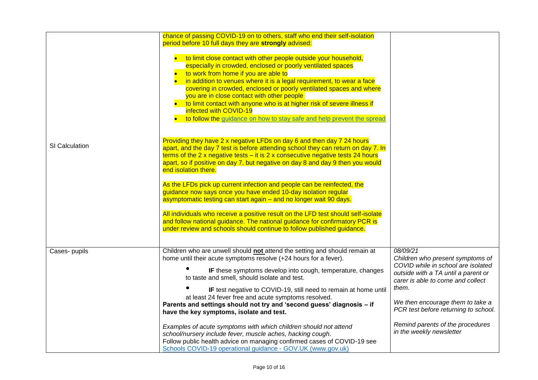|                | chance of passing COVID-19 on to others, staff who end their self-isolation<br>period before 10 full days they are strongly advised:<br>to limit close contact with other people outside your household,<br>especially in crowded, enclosed or poorly ventilated spaces<br>to work from home if you are able to<br>in addition to venues where it is a legal requirement, to wear a face<br>covering in crowded, enclosed or poorly ventilated spaces and where<br>you are in close contact with other people<br>to limit contact with anyone who is at higher risk of severe illness if<br>infected with COVID-19<br>to follow the guidance on how to stay safe and help prevent the spread |                                                                                                                                                                                                                                                                                         |
|----------------|----------------------------------------------------------------------------------------------------------------------------------------------------------------------------------------------------------------------------------------------------------------------------------------------------------------------------------------------------------------------------------------------------------------------------------------------------------------------------------------------------------------------------------------------------------------------------------------------------------------------------------------------------------------------------------------------|-----------------------------------------------------------------------------------------------------------------------------------------------------------------------------------------------------------------------------------------------------------------------------------------|
| SI Calculation | Providing they have 2 x negative LFDs on day 6 and then day 7 24 hours<br>apart, and the day 7 test is before attending school they can return on day 7. In<br>terms of the 2 x negative tests $-$ it is 2 x consecutive negative tests 24 hours<br>apart, so if positive on day 7, but negative on day 8 and day 9 then you would<br>end isolation there.                                                                                                                                                                                                                                                                                                                                   |                                                                                                                                                                                                                                                                                         |
|                | As the LFDs pick up current infection and people can be reinfected, the<br>guidance now says once you have ended 10-day isolation regular<br>asymptomatic testing can start again – and no longer wait 90 days.<br>All individuals who receive a positive result on the LFD test should self-isolate<br>and follow national guidance. The national guidance for confirmatory PCR is<br>under review and schools should continue to follow published guidance.                                                                                                                                                                                                                                |                                                                                                                                                                                                                                                                                         |
| Cases- pupils  | Children who are unwell should not attend the setting and should remain at<br>home until their acute symptoms resolve (+24 hours for a fever).<br>IF these symptoms develop into cough, temperature, changes<br>to taste and smell, should isolate and test.<br>IF test negative to COVID-19, still need to remain at home until<br>at least 24 fever free and acute symptoms resolved.<br>Parents and settings should not try and 'second guess' diagnosis - if<br>have the key symptoms, isolate and test.<br>Examples of acute symptoms with which children should not attend                                                                                                             | 08/09/21<br>Children who present symptoms of<br>COVID while in school are isolated<br>outside with a TA until a parent or<br>carer is able to come and collect<br>them.<br>We then encourage them to take a<br>PCR test before returning to school.<br>Remind parents of the procedures |
|                | school/nursery include fever, muscle aches, hacking cough.<br>Follow public health advice on managing confirmed cases of COVID-19 see<br>Schools COVID-19 operational guidance - GOV.UK (www.gov.uk)                                                                                                                                                                                                                                                                                                                                                                                                                                                                                         | in the weekly newsletter                                                                                                                                                                                                                                                                |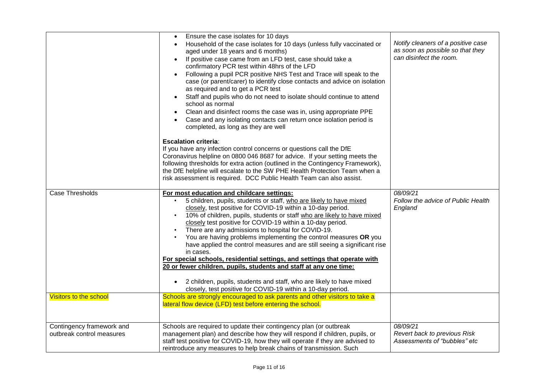|                                                        | Ensure the case isolates for 10 days<br>$\bullet$<br>Household of the case isolates for 10 days (unless fully vaccinated or<br>aged under 18 years and 6 months)<br>If positive case came from an LFD test, case should take a<br>confirmatory PCR test within 48hrs of the LFD<br>Following a pupil PCR positive NHS Test and Trace will speak to the<br>case (or parent/carer) to identify close contacts and advice on isolation<br>as required and to get a PCR test<br>Staff and pupils who do not need to isolate should continue to attend<br>school as normal<br>Clean and disinfect rooms the case was in, using appropriate PPE<br>Case and any isolating contacts can return once isolation period is<br>completed, as long as they are well                                                                                                          | Notify cleaners of a positive case<br>as soon as possible so that they<br>can disinfect the room. |
|--------------------------------------------------------|------------------------------------------------------------------------------------------------------------------------------------------------------------------------------------------------------------------------------------------------------------------------------------------------------------------------------------------------------------------------------------------------------------------------------------------------------------------------------------------------------------------------------------------------------------------------------------------------------------------------------------------------------------------------------------------------------------------------------------------------------------------------------------------------------------------------------------------------------------------|---------------------------------------------------------------------------------------------------|
|                                                        | <b>Escalation criteria:</b><br>If you have any infection control concerns or questions call the DfE<br>Coronavirus helpline on 0800 046 8687 for advice. If your setting meets the<br>following thresholds for extra action (outlined in the Contingency Framework),<br>the DfE helpline will escalate to the SW PHE Health Protection Team when a<br>risk assessment is required. DCC Public Health Team can also assist.                                                                                                                                                                                                                                                                                                                                                                                                                                       |                                                                                                   |
| <b>Case Thresholds</b>                                 | For most education and childcare settings:<br>5 children, pupils, students or staff, who are likely to have mixed<br>closely, test positive for COVID-19 within a 10-day period.<br>10% of children, pupils, students or staff who are likely to have mixed<br>closely test positive for COVID-19 within a 10-day period.<br>There are any admissions to hospital for COVID-19.<br>$\bullet$<br>You are having problems implementing the control measures OR you<br>have applied the control measures and are still seeing a significant rise<br>in cases.<br>For special schools, residential settings, and settings that operate with<br>20 or fewer children, pupils, students and staff at any one time:<br>2 children, pupils, students and staff, who are likely to have mixed<br>$\bullet$<br>closely, test positive for COVID-19 within a 10-day period. | 08/09/21<br>Follow the advice of Public Health<br>England                                         |
| <b>Visitors to the school</b>                          | Schools are strongly encouraged to ask parents and other visitors to take a<br>lateral flow device (LFD) test before entering the school.                                                                                                                                                                                                                                                                                                                                                                                                                                                                                                                                                                                                                                                                                                                        |                                                                                                   |
| Contingency framework and<br>outbreak control measures | Schools are required to update their contingency plan (or outbreak<br>management plan) and describe how they will respond if children, pupils, or<br>staff test positive for COVID-19, how they will operate if they are advised to<br>reintroduce any measures to help break chains of transmission. Such                                                                                                                                                                                                                                                                                                                                                                                                                                                                                                                                                       | 08/09/21<br>Revert back to previous Risk<br>Assessments of "bubbles" etc                          |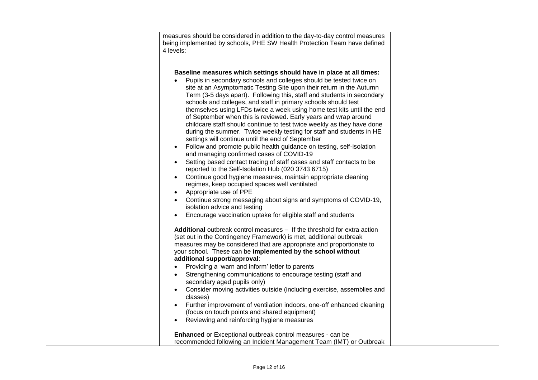| measures should be considered in addition to the day-to-day control measures<br>being implemented by schools, PHE SW Health Protection Team have defined<br>4 levels:                                                                                                                                                                                                                                                                                                                                                                                                                                                                                                                                                                                                                                                                                                                                                                                                                                                                                                                                                                                                                                                                                                              |  |
|------------------------------------------------------------------------------------------------------------------------------------------------------------------------------------------------------------------------------------------------------------------------------------------------------------------------------------------------------------------------------------------------------------------------------------------------------------------------------------------------------------------------------------------------------------------------------------------------------------------------------------------------------------------------------------------------------------------------------------------------------------------------------------------------------------------------------------------------------------------------------------------------------------------------------------------------------------------------------------------------------------------------------------------------------------------------------------------------------------------------------------------------------------------------------------------------------------------------------------------------------------------------------------|--|
| Baseline measures which settings should have in place at all times:<br>Pupils in secondary schools and colleges should be tested twice on<br>site at an Asymptomatic Testing Site upon their return in the Autumn<br>Term (3-5 days apart). Following this, staff and students in secondary<br>schools and colleges, and staff in primary schools should test<br>themselves using LFDs twice a week using home test kits until the end<br>of September when this is reviewed. Early years and wrap around<br>childcare staff should continue to test twice weekly as they have done<br>during the summer. Twice weekly testing for staff and students in HE<br>settings will continue until the end of September<br>Follow and promote public health guidance on testing, self-isolation<br>and managing confirmed cases of COVID-19<br>Setting based contact tracing of staff cases and staff contacts to be<br>reported to the Self-Isolation Hub (020 3743 6715)<br>Continue good hygiene measures, maintain appropriate cleaning<br>regimes, keep occupied spaces well ventilated<br>Appropriate use of PPE<br>Continue strong messaging about signs and symptoms of COVID-19,<br>isolation advice and testing<br>Encourage vaccination uptake for eligible staff and students |  |
| Additional outbreak control measures - If the threshold for extra action<br>(set out in the Contingency Framework) is met, additional outbreak<br>measures may be considered that are appropriate and proportionate to<br>your school. These can be implemented by the school without<br>additional support/approval:<br>Providing a 'warn and inform' letter to parents<br>Strengthening communications to encourage testing (staff and<br>secondary aged pupils only)<br>Consider moving activities outside (including exercise, assemblies and<br>classes)<br>Further improvement of ventilation indoors, one-off enhanced cleaning<br>(focus on touch points and shared equipment)<br>Reviewing and reinforcing hygiene measures                                                                                                                                                                                                                                                                                                                                                                                                                                                                                                                                               |  |
| <b>Enhanced</b> or Exceptional outbreak control measures - can be<br>recommended following an Incident Management Team (IMT) or Outbreak                                                                                                                                                                                                                                                                                                                                                                                                                                                                                                                                                                                                                                                                                                                                                                                                                                                                                                                                                                                                                                                                                                                                           |  |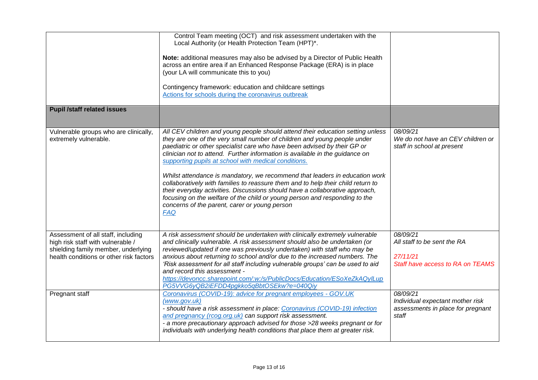| <b>Pupil /staff related issues</b>                                             | Control Team meeting (OCT) and risk assessment undertaken with the<br>Local Authority (or Health Protection Team (HPT)*.<br>Note: additional measures may also be advised by a Director of Public Health<br>across an entire area if an Enhanced Response Package (ERA) is in place<br>(your LA will communicate this to you)<br>Contingency framework: education and childcare settings<br>Actions for schools during the coronavirus outbreak                                                                                                                                                                                                                                                                                                                         |                                                                                            |
|--------------------------------------------------------------------------------|-------------------------------------------------------------------------------------------------------------------------------------------------------------------------------------------------------------------------------------------------------------------------------------------------------------------------------------------------------------------------------------------------------------------------------------------------------------------------------------------------------------------------------------------------------------------------------------------------------------------------------------------------------------------------------------------------------------------------------------------------------------------------|--------------------------------------------------------------------------------------------|
|                                                                                |                                                                                                                                                                                                                                                                                                                                                                                                                                                                                                                                                                                                                                                                                                                                                                         |                                                                                            |
| Vulnerable groups who are clinically,<br>extremely vulnerable.                 | All CEV children and young people should attend their education setting unless<br>they are one of the very small number of children and young people under<br>paediatric or other specialist care who have been advised by their GP or<br>clinician not to attend. Further information is available in the guidance on<br>supporting pupils at school with medical conditions.<br>Whilst attendance is mandatory, we recommend that leaders in education work<br>collaboratively with families to reassure them and to help their child return to<br>their everyday activities. Discussions should have a collaborative approach,<br>focusing on the welfare of the child or young person and responding to the<br>concerns of the parent, carer or young person<br>FAQ | 08/09/21<br>We do not have an CEV children or<br>staff in school at present                |
| Assessment of all staff, including<br>high risk staff with vulnerable /        | A risk assessment should be undertaken with clinically extremely vulnerable<br>and clinically vulnerable. A risk assessment should also be undertaken (or                                                                                                                                                                                                                                                                                                                                                                                                                                                                                                                                                                                                               | 08/09/21<br>All staff to be sent the RA                                                    |
| shielding family member, underlying<br>health conditions or other risk factors | reviewed/updated if one was previously undertaken) with staff who may be                                                                                                                                                                                                                                                                                                                                                                                                                                                                                                                                                                                                                                                                                                | 27/11/21                                                                                   |
|                                                                                | anxious about returning to school and/or due to the increased numbers. The<br>'Risk assessment for all staff including vulnerable groups' can be used to aid<br>and record this assessment -<br>https://devoncc.sharepoint.com/:w:/s/PublicDocs/Education/ESoXeZkAQyILup<br>PG5VVG6yQB2iEFDD4pgkko5qBbtOSEkw?e=040Qiy                                                                                                                                                                                                                                                                                                                                                                                                                                                   | Staff have access to RA on TEAMS                                                           |
| <b>Pregnant staff</b>                                                          | Coronavirus (COVID-19): advice for pregnant employees - GOV.UK<br>(www.gov.uk)<br>- should have a risk assessment in place: Coronavirus (COVID-19) infection<br>and pregnancy (rcog.org.uk) can support risk assessment.<br>- a more precautionary approach advised for those >28 weeks pregnant or for<br>individuals with underlying health conditions that place them at greater risk.                                                                                                                                                                                                                                                                                                                                                                               | 08/09/21<br>Individual expectant mother risk<br>assessments in place for pregnant<br>staff |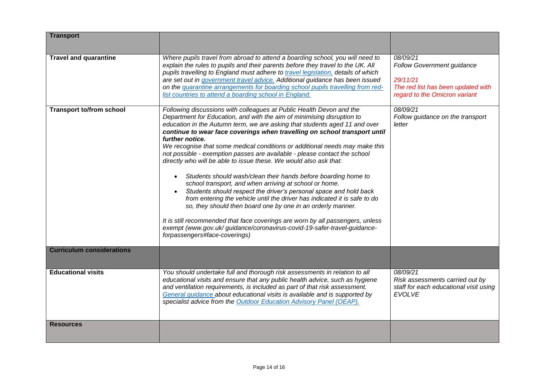| <b>Transport</b>                 |                                                                                                                                                                                                                                                                                                                                                                                                                                                                                                                                                                                                                                                                                                                                                                                                                                                                                                                                                                                                                                                                                                                        |                                                                                                                                  |
|----------------------------------|------------------------------------------------------------------------------------------------------------------------------------------------------------------------------------------------------------------------------------------------------------------------------------------------------------------------------------------------------------------------------------------------------------------------------------------------------------------------------------------------------------------------------------------------------------------------------------------------------------------------------------------------------------------------------------------------------------------------------------------------------------------------------------------------------------------------------------------------------------------------------------------------------------------------------------------------------------------------------------------------------------------------------------------------------------------------------------------------------------------------|----------------------------------------------------------------------------------------------------------------------------------|
| <b>Travel and quarantine</b>     | Where pupils travel from abroad to attend a boarding school, you will need to<br>explain the rules to pupils and their parents before they travel to the UK. All<br>pupils travelling to England must adhere to travel legislation, details of which<br>are set out in government travel advice. Additional guidance has been issued<br>on the guarantine arrangements for boarding school pupils travelling from red-<br>list countries to attend a boarding school in England.                                                                                                                                                                                                                                                                                                                                                                                                                                                                                                                                                                                                                                       | 08/09/21<br><b>Follow Government guidance</b><br>29/11/21<br>The red list has been updated with<br>regard to the Omicron variant |
| <b>Transport to/from school</b>  | Following discussions with colleagues at Public Health Devon and the<br>Department for Education, and with the aim of minimising disruption to<br>education in the Autumn term, we are asking that students aged 11 and over<br>continue to wear face coverings when travelling on school transport until<br>further notice.<br>We recognise that some medical conditions or additional needs may make this<br>not possible - exemption passes are available - please contact the school<br>directly who will be able to issue these. We would also ask that:<br>Students should wash/clean their hands before boarding home to<br>$\bullet$<br>school transport, and when arriving at school or home.<br>Students should respect the driver's personal space and hold back<br>from entering the vehicle until the driver has indicated it is safe to do<br>so, they should then board one by one in an orderly manner.<br>It is still recommended that face coverings are worn by all passengers, unless<br>exempt (www.gov.uk/ guidance/coronavirus-covid-19-safer-travel-guidance-<br>forpassengers#face-coverings) | 08/09/21<br>Follow guidance on the transport<br>letter                                                                           |
| <b>Curriculum considerations</b> |                                                                                                                                                                                                                                                                                                                                                                                                                                                                                                                                                                                                                                                                                                                                                                                                                                                                                                                                                                                                                                                                                                                        |                                                                                                                                  |
| <b>Educational visits</b>        | You should undertake full and thorough risk assessments in relation to all<br>educational visits and ensure that any public health advice, such as hygiene<br>and ventilation requirements, is included as part of that risk assessment.<br>General guidance about educational visits is available and is supported by<br>specialist advice from the Outdoor Education Advisory Panel (OEAP).                                                                                                                                                                                                                                                                                                                                                                                                                                                                                                                                                                                                                                                                                                                          | 08/09/21<br>Risk assessments carried out by<br>staff for each educational visit using<br><b>EVOLVE</b>                           |
| <b>Resources</b>                 |                                                                                                                                                                                                                                                                                                                                                                                                                                                                                                                                                                                                                                                                                                                                                                                                                                                                                                                                                                                                                                                                                                                        |                                                                                                                                  |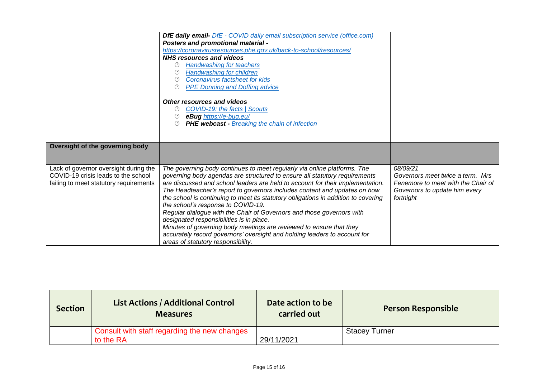|                                        | DfE daily email- DfE - COVID daily email subscription service (office.com)         |                                    |
|----------------------------------------|------------------------------------------------------------------------------------|------------------------------------|
|                                        | Posters and promotional material -                                                 |                                    |
|                                        | https://coronavirusresources.phe.gov.uk/back-to-school/resources/                  |                                    |
|                                        | <b>NHS resources and videos</b>                                                    |                                    |
|                                        | <b>Handwashing for teachers</b>                                                    |                                    |
|                                        | <b>Handwashing for children</b><br>$\circled{r}$                                   |                                    |
|                                        | <b>Coronavirus factsheet for kids</b>                                              |                                    |
|                                        | <b>PPE Donning and Doffing advice</b>                                              |                                    |
|                                        |                                                                                    |                                    |
|                                        | <b>Other resources and videos</b>                                                  |                                    |
|                                        | COVID-19: the facts   Scouts<br>(1)                                                |                                    |
|                                        | eBug https://e-bug.eu/                                                             |                                    |
|                                        | <b>PHE webcast - Breaking the chain of infection</b>                               |                                    |
|                                        |                                                                                    |                                    |
|                                        |                                                                                    |                                    |
| Oversight of the governing body        |                                                                                    |                                    |
|                                        |                                                                                    |                                    |
|                                        |                                                                                    |                                    |
| Lack of governor oversight during the  | The governing body continues to meet regularly via online platforms. The           | 08/09/21                           |
| COVID-19 crisis leads to the school    | governing body agendas are structured to ensure all statutory requirements         | Governors meet twice a term. Mrs.  |
| failing to meet statutory requirements | are discussed and school leaders are held to account for their implementation.     | Fenemore to meet with the Chair of |
|                                        | The Headteacher's report to governors includes content and updates on how          | Governors to update him every      |
|                                        | the school is continuing to meet its statutory obligations in addition to covering | fortnight                          |
|                                        | the school's response to COVID-19.                                                 |                                    |
|                                        | Regular dialogue with the Chair of Governors and those governors with              |                                    |
|                                        | designated responsibilities is in place.                                           |                                    |
|                                        | Minutes of governing body meetings are reviewed to ensure that they                |                                    |
|                                        | accurately record governors' oversight and holding leaders to account for          |                                    |
|                                        | areas of statutory responsibility.                                                 |                                    |

| <b>Section</b> | <b>List Actions / Additional Control</b><br><b>Measures</b> | Date action to be<br>carried out | <b>Person Responsible</b> |
|----------------|-------------------------------------------------------------|----------------------------------|---------------------------|
|                | Consult with staff regarding the new changes<br>to the RA   | 29/11/2021                       | <b>Stacey Turner</b>      |